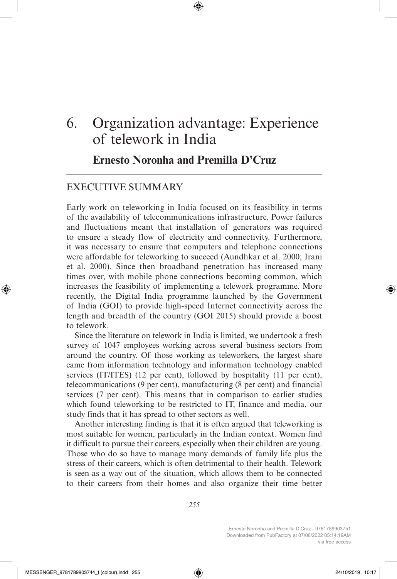# 6. Organization advantage: Experience of telework in India

**Ernesto Noronha and Premilla D'Cruz**

## EXECUTIVE SUMMARY

Early work on teleworking in India focused on its feasibility in terms of the availability of telecommunications infrastructure. Power failures and fluctuations meant that installation of generators was required to ensure a steady flow of electricity and connectivity. Furthermore, it was necessary to ensure that computers and telephone connections were affordable for teleworking to succeed (Aundhkar et al. 2000; Irani et al. 2000). Since then broadband penetration has increased many times over, with mobile phone connections becoming common, which increases the feasibility of implementing a telework programme. More recently, the Digital India programme launched by the Government of India (GOI) to provide high-speed Internet connectivity across the length and breadth of the country (GOI 2015) should provide a boost to telework.

Since the literature on telework in India is limited, we undertook a fresh survey of 1047 employees working across several business sectors from around the country. Of those working as teleworkers, the largest share came from information technology and information technology enabled services (IT/ITES) (12 per cent), followed by hospitality (11 per cent), telecommunications (9 per cent), manufacturing (8 per cent) and financial services (7 per cent). This means that in comparison to earlier studies which found teleworking to be restricted to IT, finance and media, our study finds that it has spread to other sectors as well.

Another interesting finding is that it is often argued that teleworking is most suitable for women, particularly in the Indian context. Women find it difficult to pursue their careers, especially when their children are young. Those who do so have to manage many demands of family life plus the stress of their careers, which is often detrimental to their health. Telework is seen as a way out of the situation, which allows them to be connected to their careers from their homes and also organize their time better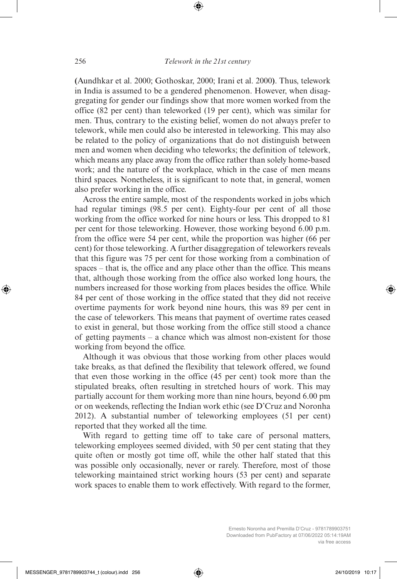**(**Aundhkar et al. 2000; Gothoskar, 2000; Irani et al. 2000**)**. Thus, telework in India is assumed to be a gendered phenomenon. However, when disaggregating for gender our findings show that more women worked from the office (82 per cent) than teleworked (19 per cent), which was similar for men. Thus, contrary to the existing belief, women do not always prefer to telework, while men could also be interested in teleworking. This may also be related to the policy of organizations that do not distinguish between men and women when deciding who teleworks; the definition of telework, which means any place away from the office rather than solely home-based work; and the nature of the workplace, which in the case of men means third spaces. Nonetheless, it is significant to note that, in general, women also prefer working in the office.

Across the entire sample, most of the respondents worked in jobs which had regular timings (98.5 per cent). Eighty-four per cent of all those working from the office worked for nine hours or less. This dropped to 81 per cent for those teleworking. However, those working beyond 6.00 p.m. from the office were 54 per cent, while the proportion was higher (66 per cent) for those teleworking. A further disaggregation of teleworkers reveals that this figure was 75 per cent for those working from a combination of spaces – that is, the office and any place other than the office. This means that, although those working from the office also worked long hours, the numbers increased for those working from places besides the office. While 84 per cent of those working in the office stated that they did not receive overtime payments for work beyond nine hours, this was 89 per cent in the case of teleworkers. This means that payment of overtime rates ceased to exist in general, but those working from the office still stood a chance of getting payments – a chance which was almost non-existent for those working from beyond the office.

Although it was obvious that those working from other places would take breaks, as that defined the flexibility that telework offered, we found that even those working in the office (45 per cent) took more than the stipulated breaks, often resulting in stretched hours of work. This may partially account for them working more than nine hours, beyond 6.00 pm or on weekends, reflecting the Indian work ethic (see D'Cruz and Noronha 2012). A substantial number of teleworking employees (51 per cent) reported that they worked all the time.

With regard to getting time off to take care of personal matters, teleworking employees seemed divided, with 50 per cent stating that they quite often or mostly got time off, while the other half stated that this was possible only occasionally, never or rarely. Therefore, most of those teleworking maintained strict working hours (53 per cent) and separate work spaces to enable them to work effectively. With regard to the former,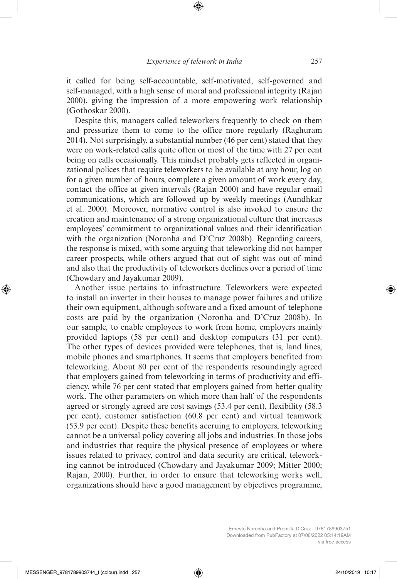it called for being self-accountable, self-motivated, self-governed and self-managed, with a high sense of moral and professional integrity (Rajan 2000), giving the impression of a more empowering work relationship (Gothoskar 2000).

Despite this, managers called teleworkers frequently to check on them and pressurize them to come to the office more regularly (Raghuram 2014). Not surprisingly, a substantial number (46 per cent) stated that they were on work-related calls quite often or most of the time with 27 per cent being on calls occasionally. This mindset probably gets reflected in organizational polices that require teleworkers to be available at any hour, log on for a given number of hours, complete a given amount of work every day, contact the office at given intervals (Rajan 2000) and have regular email communications, which are followed up by weekly meetings (Aundhkar et al. 2000). Moreover, normative control is also invoked to ensure the creation and maintenance of a strong organizational culture that increases employees' commitment to organizational values and their identification with the organization (Noronha and D'Cruz 2008b). Regarding careers, the response is mixed, with some arguing that teleworking did not hamper career prospects, while others argued that out of sight was out of mind and also that the productivity of teleworkers declines over a period of time (Chowdary and Jayakumar 2009).

Another issue pertains to infrastructure. Teleworkers were expected to install an inverter in their houses to manage power failures and utilize their own equipment, although software and a fixed amount of telephone costs are paid by the organization (Noronha and D'Cruz 2008b). In our sample, to enable employees to work from home, employers mainly provided laptops (58 per cent) and desktop computers (31 per cent). The other types of devices provided were telephones, that is, land lines, mobile phones and smartphones. It seems that employers benefited from teleworking. About 80 per cent of the respondents resoundingly agreed that employers gained from teleworking in terms of productivity and efficiency, while 76 per cent stated that employers gained from better quality work. The other parameters on which more than half of the respondents agreed or strongly agreed are cost savings (53.4 per cent), flexibility (58.3 per cent), customer satisfaction (60.8 per cent) and virtual teamwork (53.9 per cent). Despite these benefits accruing to employers, teleworking cannot be a universal policy covering all jobs and industries. In those jobs and industries that require the physical presence of employees or where issues related to privacy, control and data security are critical, teleworking cannot be introduced (Chowdary and Jayakumar 2009; Mitter 2000; Rajan, 2000). Further, in order to ensure that teleworking works well, organizations should have a good management by objectives programme,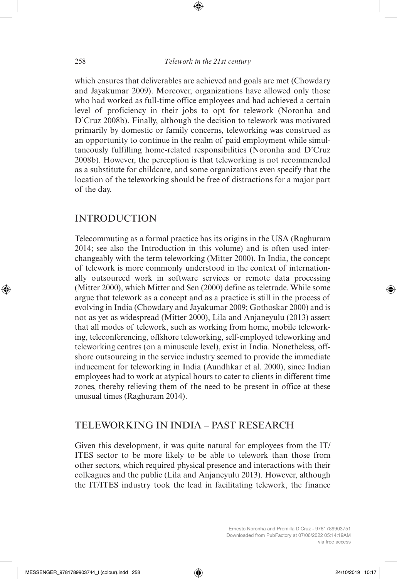which ensures that deliverables are achieved and goals are met (Chowdary and Jayakumar 2009). Moreover, organizations have allowed only those who had worked as full-time office employees and had achieved a certain level of proficiency in their jobs to opt for telework (Noronha and D'Cruz 2008b). Finally, although the decision to telework was motivated primarily by domestic or family concerns, teleworking was construed as an opportunity to continue in the realm of paid employment while simultaneously fulfilling home-related responsibilities (Noronha and D'Cruz 2008b). However, the perception is that teleworking is not recommended as a substitute for childcare, and some organizations even specify that the location of the teleworking should be free of distractions for a major part of the day.

## INTRODUCTION

Telecommuting as a formal practice has its origins in the USA (Raghuram 2014; see also the Introduction in this volume) and is often used interchangeably with the term teleworking (Mitter 2000). In India, the concept of telework is more commonly understood in the context of internationally outsourced work in software services or remote data processing (Mitter 2000), which Mitter and Sen (2000) define as teletrade. While some argue that telework as a concept and as a practice is still in the process of evolving in India (Chowdary and Jayakumar 2009; Gothoskar 2000) and is not as yet as widespread (Mitter 2000), Lila and Anjaneyulu (2013) assert that all modes of telework, such as working from home, mobile teleworking, teleconferencing, offshore teleworking, self-employed teleworking and teleworking centres (on a minuscule level), exist in India. Nonetheless, offshore outsourcing in the service industry seemed to provide the immediate inducement for teleworking in India (Aundhkar et al. 2000), since Indian employees had to work at atypical hours to cater to clients in different time zones, thereby relieving them of the need to be present in office at these unusual times (Raghuram 2014).

## TELEWORKING IN INDIA – PAST RESEARCH

Given this development, it was quite natural for employees from the IT/ ITES sector to be more likely to be able to telework than those from other sectors, which required physical presence and interactions with their colleagues and the public (Lila and Anjaneyulu 2013). However, although the IT/ITES industry took the lead in facilitating telework, the finance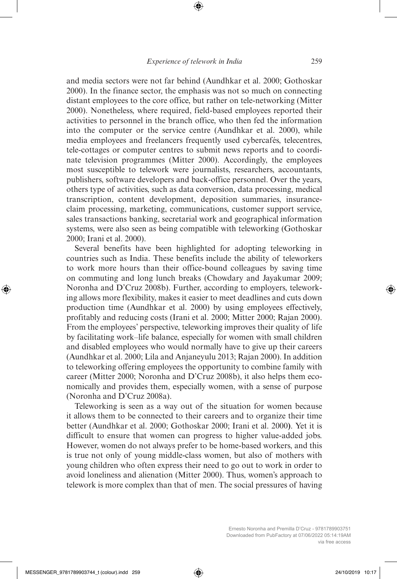and media sectors were not far behind (Aundhkar et al. 2000; Gothoskar 2000). In the finance sector, the emphasis was not so much on connecting distant employees to the core office, but rather on tele-networking (Mitter 2000). Nonetheless, where required, field-based employees reported their activities to personnel in the branch office, who then fed the information into the computer or the service centre (Aundhkar et al. 2000), while media employees and freelancers frequently used cybercafés, telecentres, tele-cottages or computer centres to submit news reports and to coordinate television programmes (Mitter 2000). Accordingly, the employees most susceptible to telework were journalists, researchers, accountants, publishers, software developers and back-office personnel. Over the years, others type of activities, such as data conversion, data processing, medical transcription, content development, deposition summaries, insuranceclaim processing, marketing, communications, customer support service, sales transactions banking, secretarial work and geographical information systems, were also seen as being compatible with teleworking (Gothoskar 2000; Irani et al. 2000).

Several benefits have been highlighted for adopting teleworking in countries such as India. These benefits include the ability of teleworkers to work more hours than their office-bound colleagues by saving time on commuting and long lunch breaks (Chowdary and Jayakumar 2009; Noronha and D'Cruz 2008b). Further, according to employers, teleworking allows more flexibility, makes it easier to meet deadlines and cuts down production time (Aundhkar et al. 2000) by using employees effectively, profitably and reducing costs (Irani et al. 2000; Mitter 2000; Rajan 2000). From the employees' perspective, teleworking improves their quality of life by facilitating work–life balance, especially for women with small children and disabled employees who would normally have to give up their careers (Aundhkar et al. 2000; Lila and Anjaneyulu 2013; Rajan 2000). In addition to teleworking offering employees the opportunity to combine family with career (Mitter 2000; Noronha and D'Cruz 2008b), it also helps them economically and provides them, especially women, with a sense of purpose (Noronha and D'Cruz 2008a).

Teleworking is seen as a way out of the situation for women because it allows them to be connected to their careers and to organize their time better (Aundhkar et al. 2000; Gothoskar 2000; Irani et al. 2000**)**. Yet it is difficult to ensure that women can progress to higher value-added jobs. However, women do not always prefer to be home-based workers, and this is true not only of young middle-class women, but also of mothers with young children who often express their need to go out to work in order to avoid loneliness and alienation (Mitter 2000). Thus, women's approach to telework is more complex than that of men. The social pressures of having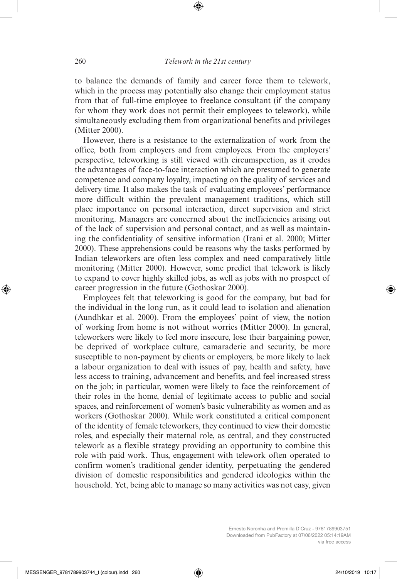to balance the demands of family and career force them to telework, which in the process may potentially also change their employment status from that of full-time employee to freelance consultant (if the company for whom they work does not permit their employees to telework), while simultaneously excluding them from organizational benefits and privileges (Mitter 2000).

However, there is a resistance to the externalization of work from the office, both from employers and from employees. From the employers' perspective, teleworking is still viewed with circumspection, as it erodes the advantages of face-to-face interaction which are presumed to generate competence and company loyalty, impacting on the quality of services and delivery time. It also makes the task of evaluating employees' performance more difficult within the prevalent management traditions, which still place importance on personal interaction, direct supervision and strict monitoring. Managers are concerned about the inefficiencies arising out of the lack of supervision and personal contact, and as well as maintaining the confidentiality of sensitive information (Irani et al. 2000; Mitter 2000). These apprehensions could be reasons why the tasks performed by Indian teleworkers are often less complex and need comparatively little monitoring (Mitter 2000). However, some predict that telework is likely to expand to cover highly skilled jobs, as well as jobs with no prospect of career progression in the future (Gothoskar 2000).

Employees felt that teleworking is good for the company, but bad for the individual in the long run, as it could lead to isolation and alienation (Aundhkar et al. 2000). From the employees' point of view, the notion of working from home is not without worries (Mitter 2000). In general, teleworkers were likely to feel more insecure, lose their bargaining power, be deprived of workplace culture, camaraderie and security, be more susceptible to non-payment by clients or employers, be more likely to lack a labour organization to deal with issues of pay, health and safety, have less access to training, advancement and benefits, and feel increased stress on the job; in particular, women were likely to face the reinforcement of their roles in the home, denial of legitimate access to public and social spaces, and reinforcement of women's basic vulnerability as women and as workers (Gothoskar 2000). While work constituted a critical component of the identity of female teleworkers, they continued to view their domestic roles, and especially their maternal role, as central, and they constructed telework as a flexible strategy providing an opportunity to combine this role with paid work. Thus, engagement with telework often operated to confirm women's traditional gender identity, perpetuating the gendered division of domestic responsibilities and gendered ideologies within the household. Yet, being able to manage so many activities was not easy, given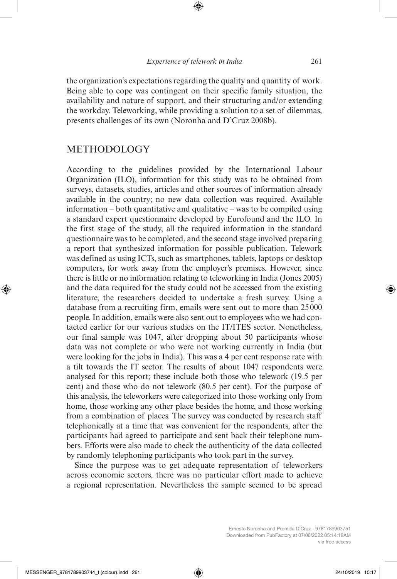the organization's expectations regarding the quality and quantity of work. Being able to cope was contingent on their specific family situation, the availability and nature of support, and their structuring and/or extending the workday. Teleworking, while providing a solution to a set of dilemmas, presents challenges of its own (Noronha and D'Cruz 2008b).

#### METHODOLOGY

According to the guidelines provided by the International Labour Organization (ILO), information for this study was to be obtained from surveys, datasets, studies, articles and other sources of information already available in the country; no new data collection was required. Available information – both quantitative and qualitative – was to be compiled using a standard expert questionnaire developed by Eurofound and the ILO. In the first stage of the study, all the required information in the standard questionnaire was to be completed, and the second stage involved preparing a report that synthesized information for possible publication. Telework was defined as using ICTs, such as smartphones, tablets, laptops or desktop computers, for work away from the employer's premises. However, since there is little or no information relating to teleworking in India (Jones 2005) and the data required for the study could not be accessed from the existing literature, the researchers decided to undertake a fresh survey. Using a database from a recruiting firm, emails were sent out to more than 25000 people. In addition, emails were also sent out to employees who we had contacted earlier for our various studies on the IT/ITES sector. Nonetheless, our final sample was 1047, after dropping about 50 participants whose data was not complete or who were not working currently in India (but were looking for the jobs in India). This was a 4 per cent response rate with a tilt towards the IT sector. The results of about 1047 respondents were analysed for this report; these include both those who telework (19.5 per cent) and those who do not telework (80.5 per cent). For the purpose of this analysis, the teleworkers were categorized into those working only from home, those working any other place besides the home, and those working from a combination of places. The survey was conducted by research staff telephonically at a time that was convenient for the respondents, after the participants had agreed to participate and sent back their telephone numbers. Efforts were also made to check the authenticity of the data collected by randomly telephoning participants who took part in the survey.

Since the purpose was to get adequate representation of teleworkers across economic sectors, there was no particular effort made to achieve a regional representation. Nevertheless the sample seemed to be spread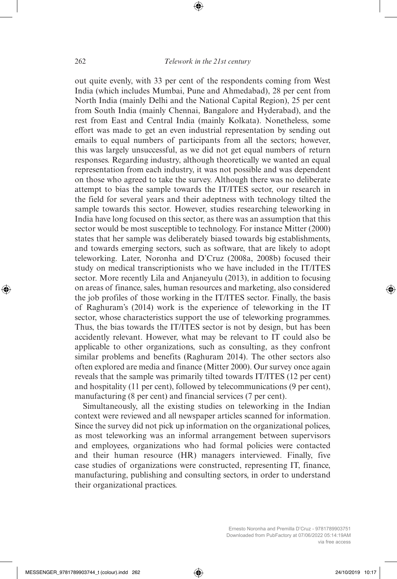out quite evenly, with 33 per cent of the respondents coming from West India (which includes Mumbai, Pune and Ahmedabad), 28 per cent from North India (mainly Delhi and the National Capital Region), 25 per cent from South India (mainly Chennai, Bangalore and Hyderabad), and the rest from East and Central India (mainly Kolkata). Nonetheless, some effort was made to get an even industrial representation by sending out emails to equal numbers of participants from all the sectors; however, this was largely unsuccessful, as we did not get equal numbers of return responses. Regarding industry, although theoretically we wanted an equal representation from each industry, it was not possible and was dependent on those who agreed to take the survey. Although there was no deliberate attempt to bias the sample towards the IT/ITES sector, our research in the field for several years and their adeptness with technology tilted the sample towards this sector. However, studies researching teleworking in India have long focused on this sector, as there was an assumption that this sector would be most susceptible to technology. For instance Mitter (2000) states that her sample was deliberately biased towards big establishments, and towards emerging sectors, such as software, that are likely to adopt teleworking. Later, Noronha and D'Cruz (2008a, 2008b) focused their study on medical transcriptionists who we have included in the IT/ITES sector. More recently Lila and Anjaneyulu (2013), in addition to focusing on areas of finance, sales, human resources and marketing, also considered the job profiles of those working in the IT/ITES sector. Finally, the basis of Raghuram's (2014) work is the experience of teleworking in the IT sector, whose characteristics support the use of teleworking programmes. Thus, the bias towards the IT/ITES sector is not by design, but has been accidently relevant. However, what may be relevant to IT could also be applicable to other organizations, such as consulting, as they confront similar problems and benefits (Raghuram 2014). The other sectors also often explored are media and finance (Mitter 2000). Our survey once again reveals that the sample was primarily tilted towards IT/ITES (12 per cent) and hospitality (11 per cent), followed by telecommunications (9 per cent), manufacturing (8 per cent) and financial services (7 per cent).

Simultaneously, all the existing studies on teleworking in the Indian context were reviewed and all newspaper articles scanned for information. Since the survey did not pick up information on the organizational polices, as most teleworking was an informal arrangement between supervisors and employees, organizations who had formal policies were contacted and their human resource (HR) managers interviewed. Finally, five case studies of organizations were constructed, representing IT, finance, manufacturing, publishing and consulting sectors, in order to understand their organizational practices.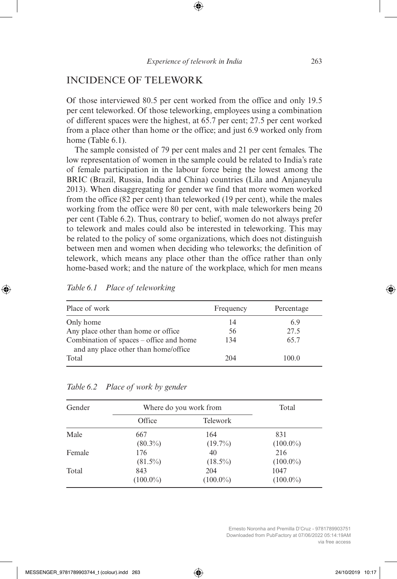# INCIDENCE OF TELEWORK

Of those interviewed 80.5 per cent worked from the office and only 19.5 per cent teleworked. Of those teleworking, employees using a combination of different spaces were the highest, at 65.7 per cent; 27.5 per cent worked from a place other than home or the office; and just 6.9 worked only from home (Table 6.1).

The sample consisted of 79 per cent males and 21 per cent females. The low representation of women in the sample could be related to India's rate of female participation in the labour force being the lowest among the BRIC (Brazil, Russia, India and China) countries (Lila and Anjaneyulu 2013). When disaggregating for gender we find that more women worked from the office (82 per cent) than teleworked (19 per cent), while the males working from the office were 80 per cent, with male teleworkers being 20 per cent (Table 6.2). Thus, contrary to belief, women do not always prefer to telework and males could also be interested in teleworking. This may be related to the policy of some organizations, which does not distinguish between men and women when deciding who teleworks; the definition of telework, which means any place other than the office rather than only home-based work; and the nature of the workplace, which for men means

| Place of work                                                                   | Frequency | Percentage |
|---------------------------------------------------------------------------------|-----------|------------|
| Only home                                                                       | 14        | 6.9        |
| Any place other than home or office.                                            | 56        | 27.5       |
| Combination of spaces – office and home<br>and any place other than home/office | 134       | 65.7       |
| Total                                                                           | 204       | 100.0      |

*Table 6.1 Place of teleworking*

| Gender | Where do you work from | Total           |             |
|--------|------------------------|-----------------|-------------|
|        | Office                 | <b>Telework</b> |             |
| Male   | 667                    | 164             | 831         |
|        | $(80.3\%)$             | $(19.7\%)$      | $(100.0\%)$ |
| Female | 176                    | 40              | 216         |
|        | $(81.5\%)$             | $(18.5\%)$      | $(100.0\%)$ |
| Total  | 843                    | 204             | 1047        |
|        | $(100.0\%)$            | $(100.0\%)$     | $(100.0\%)$ |

#### *Table 6.2 Place of work by gender*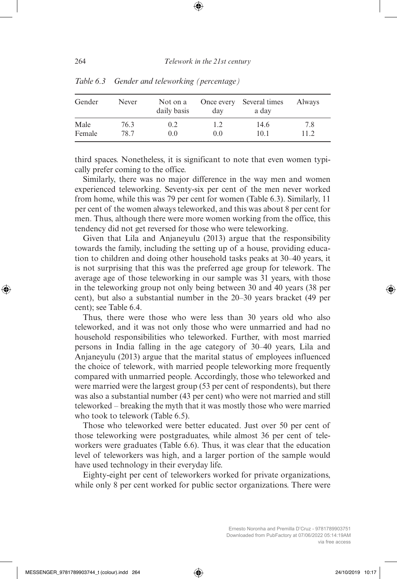| Gender | Never | Not on a<br>daily basis | Once every<br>day | Several times<br>a day | Always |
|--------|-------|-------------------------|-------------------|------------------------|--------|
| Male   | 76.3  | 0.2                     | 1.2               | 14.6                   | 7.8    |
| Female | 78.7  | 0.0                     | 0.0               | 10.1                   | 11.2.  |

*Table 6.3 Gender and teleworking (percentage)*

third spaces. Nonetheless, it is significant to note that even women typically prefer coming to the office.

Similarly, there was no major difference in the way men and women experienced teleworking. Seventy-six per cent of the men never worked from home, while this was 79 per cent for women (Table 6.3). Similarly, 11 per cent of the women always teleworked, and this was about 8 per cent for men. Thus, although there were more women working from the office, this tendency did not get reversed for those who were teleworking.

Given that Lila and Anjaneyulu (2013) argue that the responsibility towards the family, including the setting up of a house, providing education to children and doing other household tasks peaks at 30–40 years, it is not surprising that this was the preferred age group for telework. The average age of those teleworking in our sample was 31 years, with those in the teleworking group not only being between 30 and 40 years (38 per cent), but also a substantial number in the 20–30 years bracket (49 per cent); see Table 6.4.

Thus, there were those who were less than 30 years old who also teleworked, and it was not only those who were unmarried and had no household responsibilities who teleworked. Further, with most married persons in India falling in the age category of 30–40 years, Lila and Anjaneyulu (2013) argue that the marital status of employees influenced the choice of telework, with married people teleworking more frequently compared with unmarried people. Accordingly, those who teleworked and were married were the largest group (53 per cent of respondents), but there was also a substantial number (43 per cent) who were not married and still teleworked – breaking the myth that it was mostly those who were married who took to telework (Table 6.5).

Those who teleworked were better educated. Just over 50 per cent of those teleworking were postgraduates, while almost 36 per cent of teleworkers were graduates (Table 6.6). Thus, it was clear that the education level of teleworkers was high, and a larger portion of the sample would have used technology in their everyday life.

Eighty-eight per cent of teleworkers worked for private organizations, while only 8 per cent worked for public sector organizations. There were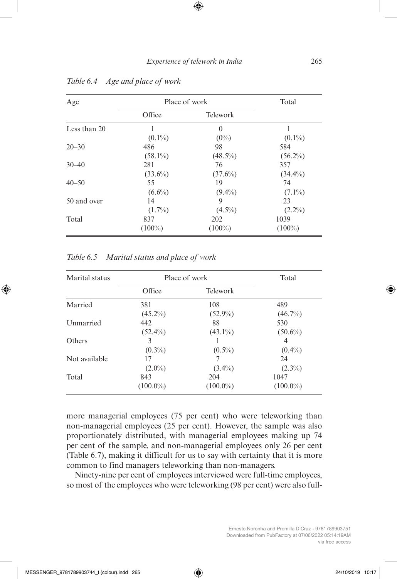| Age          | Place of work |                 | Total      |
|--------------|---------------|-----------------|------------|
|              | Office        | <b>Telework</b> |            |
| Less than 20 |               | $\Omega$        |            |
|              | $(0.1\%)$     | $(0\%)$         | $(0.1\%)$  |
| $20 - 30$    | 486           | 98              | 584        |
|              | $(58.1\%)$    | $(48.5\%)$      | $(56.2\%)$ |
| $30 - 40$    | 281           | 76              | 357        |
|              | $(33.6\%)$    | $(37.6\%)$      | $(34.4\%)$ |
| $40 - 50$    | 55            | 19              | 74         |
|              | $(6.6\%)$     | $(9.4\%)$       | $(7.1\%)$  |
| 50 and over  | 14            | 9               | 23         |
|              | $(1.7\%)$     | $(4.5\%)$       | $(2.2\%)$  |
| Total        | 837           | 202             | 1039       |
|              | $(100\%)$     | $(100\%)$       | $(100\%)$  |

*Table 6.4 Age and place of work*

*Table 6.5 Marital status and place of work*

| Marital status | Place of work |             | Total          |
|----------------|---------------|-------------|----------------|
|                | Office        | Telework    |                |
| Married        | 381           | 108         | 489            |
|                | $(45.2\%)$    | $(52.9\%)$  | $(46.7\%)$     |
| Unmarried      | 442           | 88          | 530            |
|                | $(52.4\%)$    | $(43.1\%)$  | $(50.6\%)$     |
| Others         | 3             |             | $\overline{4}$ |
|                | $(0.3\%)$     | $(0.5\%)$   | $(0.4\%)$      |
| Not available  | 17            |             | 24             |
|                | $(2.0\%)$     | $(3.4\%)$   | $(2.3\%)$      |
| Total          | 843           | 204         | 1047           |
|                | $(100.0\%)$   | $(100.0\%)$ | $(100.0\%)$    |

more managerial employees (75 per cent) who were teleworking than non-managerial employees (25 per cent). However, the sample was also proportionately distributed, with managerial employees making up 74 per cent of the sample, and non-managerial employees only 26 per cent (Table 6.7), making it difficult for us to say with certainty that it is more common to find managers teleworking than non-managers.

Ninety-nine per cent of employees interviewed were full-time employees, so most of the employees who were teleworking (98 per cent) were also full-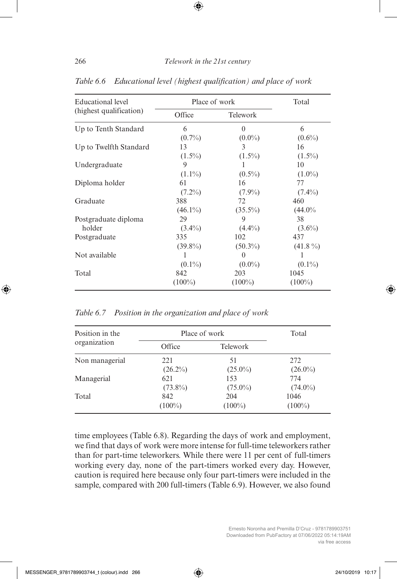| Educational level       | Place of work |                 | Total      |
|-------------------------|---------------|-----------------|------------|
| (highest qualification) | Office        | <b>Telework</b> |            |
| Up to Tenth Standard    | 6             | $\Omega$        | 6          |
|                         | $(0.7\%)$     | $(0.0\%)$       | $(0.6\%)$  |
| Up to Twelfth Standard  | 13            | 3               | 16         |
|                         | $(1.5\%)$     | $(1.5\%)$       | $(1.5\%)$  |
| Undergraduate           | 9             |                 | 10         |
|                         | $(1.1\%)$     | $(0.5\%)$       | $(1.0\%)$  |
| Diploma holder          | 61            | 16              | 77         |
|                         | $(7.2\%)$     | $(7.9\%)$       | $(7.4\%)$  |
| Graduate                | 388           | 72              | 460        |
|                         | $(46.1\%)$    | $(35.5\%)$      | $(44.0\%$  |
| Postgraduate diploma    | 29            | 9               | 38         |
| holder                  | $(3.4\%)$     | $(4.4\%)$       | $(3.6\%)$  |
| Postgraduate            | 335           | 102             | 437        |
|                         | $(39.8\%)$    | $(50.3\%)$      | $(41.8\%)$ |
| Not available           | 1             | $\theta$        | 1          |
|                         | $(0.1\%)$     | $(0.0\%)$       | $(0.1\%)$  |
| Total                   | 842           | 203             | 1045       |
|                         | $(100\%)$     | $(100\%)$       | $(100\%)$  |

*Table 6.6 Educational level (highest qualification) and place of work*

*Table 6.7 Position in the organization and place of work*

| Position in the<br>organization | Place of work |                 | Total      |
|---------------------------------|---------------|-----------------|------------|
|                                 | Office        | <b>Telework</b> |            |
| Non managerial                  | 221           | 51              | 272        |
|                                 | $(26.2\%)$    | $(25.0\%)$      | $(26.0\%)$ |
| Managerial                      | 621           | 153             | 774        |
|                                 | $(73.8\%)$    | $(75.0\%)$      | $(74.0\%)$ |
| Total                           | 842           | 204             | 1046       |
|                                 | $(100\%)$     | $(100\%)$       | $(100\%)$  |

time employees (Table 6.8). Regarding the days of work and employment, we find that days of work were more intense for full-time teleworkers rather than for part-time teleworkers. While there were 11 per cent of full-timers working every day, none of the part-timers worked every day. However, caution is required here because only four part-timers were included in the sample, compared with 200 full-timers (Table 6.9). However, we also found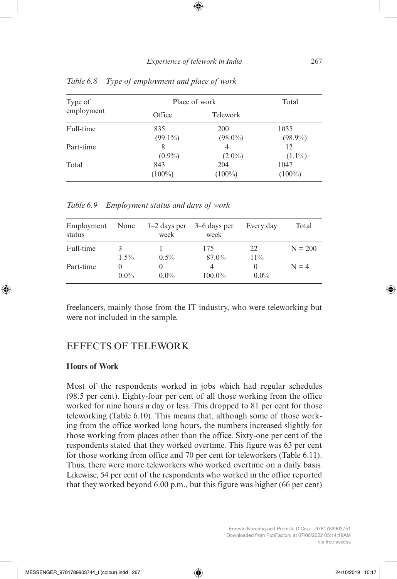| Type of<br>employment | Place of work |            | Total      |
|-----------------------|---------------|------------|------------|
|                       | Office        | Telework   |            |
| Full-time             | 835           | <b>200</b> | 1035       |
|                       | $(99.1\%)$    | $(98.0\%)$ | $(98.9\%)$ |
| Part-time             | 8             | 4          | 12         |
|                       | $(0.9\%)$     | $(2.0\%)$  | $(1.1\%)$  |
| Total                 | 843           | 204        | 1047       |
|                       | $(100\%)$     | $(100\%)$  | $(100\%)$  |

*Table 6.8 Type of employment and place of work*

*Table 6.9 Employment status and days of work*

| Employment<br>status | None         | $1-2$ days per<br>week | $3-6$ days per<br>week | Every day           | Total     |
|----------------------|--------------|------------------------|------------------------|---------------------|-----------|
| Full-time            | 3<br>$1.5\%$ | $0.5\%$                | 175<br>87.0%           | 22<br>11%           | $N = 200$ |
| Part-time            | $0.0\%$      | $0.0\%$                | 4<br>$100.0\%$         | $\theta$<br>$0.0\%$ | $N = 4$   |

freelancers, mainly those from the IT industry, who were teleworking but were not included in the sample.

## EFFECTS OF TELEWORK

#### **Hours of Work**

Most of the respondents worked in jobs which had regular schedules (98.5 per cent). Eighty-four per cent of all those working from the office worked for nine hours a day or less. This dropped to 81 per cent for those teleworking (Table 6.10). This means that, although some of those working from the office worked long hours, the numbers increased slightly for those working from places other than the office. Sixty-one per cent of the respondents stated that they worked overtime. This figure was 63 per cent for those working from office and 70 per cent for teleworkers (Table 6.11). Thus, there were more teleworkers who worked overtime on a daily basis. Likewise, 54 per cent of the respondents who worked in the office reported that they worked beyond 6.00 p.m., but this figure was higher (66 per cent)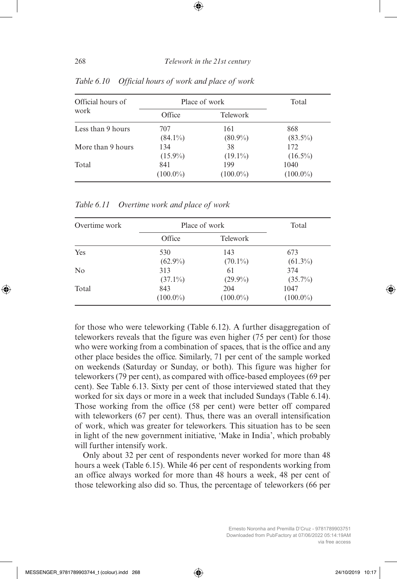| Official hours of<br>work | Place of work |                 | Total       |
|---------------------------|---------------|-----------------|-------------|
|                           | Office        | <b>Telework</b> |             |
| Less than 9 hours         | 707           | 161             | 868         |
|                           | $(84.1\%)$    | $(80.9\%)$      | $(83.5\%)$  |
| More than 9 hours         | 134           | 38              | 172         |
|                           | $(15.9\%)$    | $(19.1\%)$      | $(16.5\%)$  |
| Total                     | 841           | 199             | 1040        |
|                           | $(100.0\%)$   | $(100.0\%)$     | $(100.0\%)$ |

*Table 6.10 Official hours of work and place of work*

| Overtime work |             | Place of work   |             |
|---------------|-------------|-----------------|-------------|
|               | Office      | <b>Telework</b> |             |
| Yes           | 530         | 143             | 673         |
|               | $(62.9\%)$  | $(70.1\%)$      | $(61.3\%)$  |
| No            | 313         | 61              | 374         |
|               | $(37.1\%)$  | $(29.9\%)$      | $(35.7\%)$  |
| Total         | 843         | 204             | 1047        |
|               | $(100.0\%)$ | $(100.0\%)$     | $(100.0\%)$ |

*Table 6.11 Overtime work and place of work*

for those who were teleworking (Table 6.12). A further disaggregation of teleworkers reveals that the figure was even higher (75 per cent) for those who were working from a combination of spaces, that is the office and any other place besides the office. Similarly, 71 per cent of the sample worked on weekends (Saturday or Sunday, or both). This figure was higher for teleworkers (79 per cent), as compared with office-based employees (69 per cent). See Table 6.13. Sixty per cent of those interviewed stated that they worked for six days or more in a week that included Sundays (Table 6.14). Those working from the office (58 per cent) were better off compared with teleworkers (67 per cent). Thus, there was an overall intensification of work, which was greater for teleworkers. This situation has to be seen in light of the new government initiative, 'Make in India', which probably will further intensify work.

Only about 32 per cent of respondents never worked for more than 48 hours a week (Table 6.15). While 46 per cent of respondents working from an office always worked for more than 48 hours a week, 48 per cent of those teleworking also did so. Thus, the percentage of teleworkers (66 per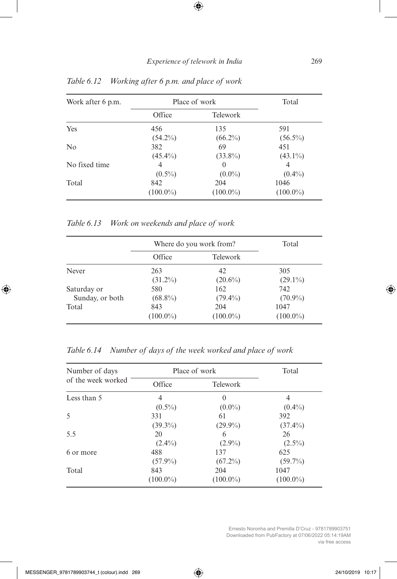| Work after 6 p.m. | Place of work |                 | Total       |
|-------------------|---------------|-----------------|-------------|
|                   | Office        | <b>Telework</b> |             |
| Yes               | 456           | 135             | 591         |
|                   | $(54.2\%)$    | $(66.2\%)$      | $(56.5\%)$  |
| N <sub>0</sub>    | 382           | 69              | 451         |
|                   | $(45.4\%)$    | $(33.8\%)$      | $(43.1\%)$  |
| No fixed time     | 4             | $\theta$        | 4           |
|                   | $(0.5\%)$     | $(0.0\%)$       | $(0.4\%)$   |
| Total             | 842           | 204             | 1046        |
|                   | $(100.0\%)$   | $(100.0\%)$     | $(100.0\%)$ |

*Table 6.12 Working after 6 p.m. and place of work*

*Table 6.13 Work on weekends and place of work*

|                 |             | Where do you work from? | Total       |
|-----------------|-------------|-------------------------|-------------|
|                 | Office      | Telework                |             |
| Never           | 263         | 42                      | 305         |
|                 | $(31.2\%)$  | $(20.6\%)$              | $(29.1\%)$  |
| Saturday or     | 580         | 162                     | 742         |
| Sunday, or both | $(68.8\%)$  | $(79.4\%)$              | $(70.9\%)$  |
| Total           | 843         | 204                     | 1047        |
|                 | $(100.0\%)$ | $(100.0\%)$             | $(100.0\%)$ |

*Table 6.14 Number of days of the week worked and place of work*

| Number of days     |             | Place of work    | Total       |
|--------------------|-------------|------------------|-------------|
| of the week worked | Office      | Telework         |             |
| Less than 5        | 4           | $\left( \right)$ | 4           |
|                    | $(0.5\%)$   | $(0.0\%)$        | $(0.4\%)$   |
| 5                  | 331         | 61               | 392         |
|                    | $(39.3\%)$  | $(29.9\%)$       | $(37.4\%)$  |
| 5.5                | 20          | 6                | 26          |
|                    | $(2.4\%)$   | $(2.9\%)$        | $(2.5\%)$   |
| 6 or more          | 488         | 137              | 625         |
|                    | $(57.9\%)$  | $(67.2\%)$       | $(59.7\%)$  |
| Total              | 843         | 204              | 1047        |
|                    | $(100.0\%)$ | $(100.0\%)$      | $(100.0\%)$ |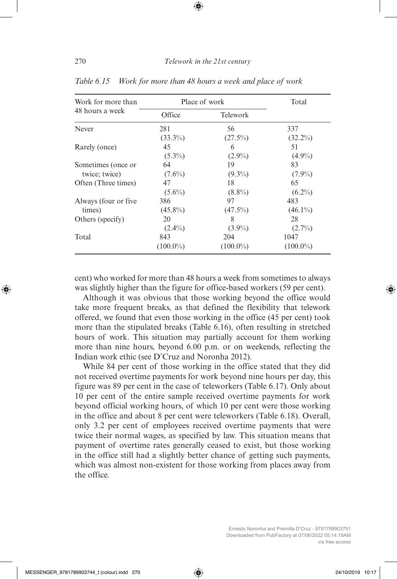| Work for more than    |             | Place of work   | Total       |
|-----------------------|-------------|-----------------|-------------|
| 48 hours a week       | Office      | <b>Telework</b> |             |
| Never                 | 281         | 56              | 337         |
|                       | $(33.3\%)$  | $(27.5\%)$      | $(32.2\%)$  |
| Rarely (once)         | 45          | 6               | 51          |
|                       | $(5.3\%)$   | $(2.9\%)$       | $(4.9\%)$   |
| Sometimes (once or    | 64          | 19              | 83          |
| twice; twice)         | $(7.6\%)$   | $(9.3\%)$       | $(7.9\%)$   |
| Often (Three times)   | 47          | 18              | 65          |
|                       | $(5.6\%)$   | $(8.8\%)$       | $(6.2\%)$   |
| Always (four or five) | 386         | 97              | 483         |
| times)                | $(45.8\%)$  | $(47.5\%)$      | $(46.1\%)$  |
| Others (specify)      | 20          | 8               | 28          |
|                       | $(2.4\%)$   | $(3.9\%)$       | $(2.7\%)$   |
| Total                 | 843         | 204             | 1047        |
|                       | $(100.0\%)$ | $(100.0\%)$     | $(100.0\%)$ |

*Table 6.15 Work for more than 48 hours a week and place of work*

cent) who worked for more than 48 hours a week from sometimes to always was slightly higher than the figure for office-based workers (59 per cent).

Although it was obvious that those working beyond the office would take more frequent breaks, as that defined the flexibility that telework offered, we found that even those working in the office (45 per cent) took more than the stipulated breaks (Table 6.16), often resulting in stretched hours of work. This situation may partially account for them working more than nine hours, beyond 6.00 p.m. or on weekends, reflecting the Indian work ethic (see D'Cruz and Noronha 2012).

While 84 per cent of those working in the office stated that they did not received overtime payments for work beyond nine hours per day, this figure was 89 per cent in the case of teleworkers (Table 6.17). Only about 10 per cent of the entire sample received overtime payments for work beyond official working hours, of which 10 per cent were those working in the office and about 8 per cent were teleworkers (Table 6.18). Overall, only 3.2 per cent of employees received overtime payments that were twice their normal wages, as specified by law. This situation means that payment of overtime rates generally ceased to exist, but those working in the office still had a slightly better chance of getting such payments, which was almost non-existent for those working from places away from the office.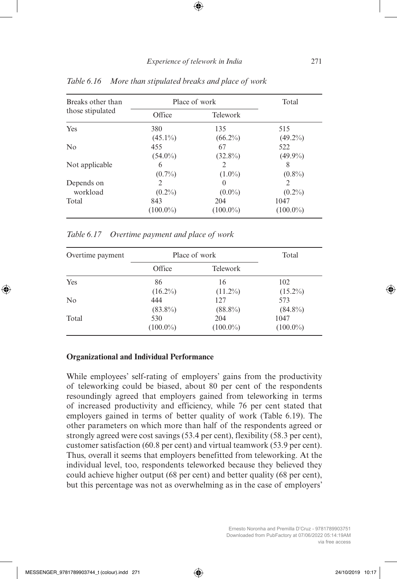| Breaks other than |             | Place of work    | Total          |
|-------------------|-------------|------------------|----------------|
| those stipulated  | Office      | <b>Telework</b>  |                |
| Yes               | 380         | 135              | 515            |
|                   | $(45.1\%)$  | $(66.2\%)$       | $(49.2\%)$     |
| No                | 455         | 67               | 522            |
|                   | $(54.0\%)$  | $(32.8\%)$       | $(49.9\%)$     |
| Not applicable    | 6           | $\mathcal{L}$    | 8              |
|                   | $(0.7\%)$   | $(1.0\%)$        | $(0.8\%)$      |
| Depends on        | 2           | $\left( \right)$ | $\overline{2}$ |
| workload          | $(0.2\%)$   | $(0.0\%)$        | $(0.2\%)$      |
| Total             | 843         | 204              | 1047           |
|                   | $(100.0\%)$ | $(100.0\%)$      | $(100.0\%)$    |

*Table 6.16 More than stipulated breaks and place of work*

*Table 6.17 Overtime payment and place of work*

| Overtime payment |             | Place of work   | Total       |
|------------------|-------------|-----------------|-------------|
|                  | Office      | <b>Telework</b> |             |
| Yes              | 86          | 16              | 102         |
|                  | $(16.2\%)$  | $(11.2\%)$      | $(15.2\%)$  |
| No               | 444         | 12.7            | 573         |
|                  | $(83.8\%)$  | $(88.8\%)$      | $(84.8\%)$  |
| Total            | 530         | 204             | 1047        |
|                  | $(100.0\%)$ | $(100.0\%)$     | $(100.0\%)$ |

#### **Organizational and Individual Performance**

While employees' self-rating of employers' gains from the productivity of teleworking could be biased, about 80 per cent of the respondents resoundingly agreed that employers gained from teleworking in terms of increased productivity and efficiency, while 76 per cent stated that employers gained in terms of better quality of work (Table 6.19). The other parameters on which more than half of the respondents agreed or strongly agreed were cost savings (53.4 per cent), flexibility (58.3 per cent), customer satisfaction (60.8 per cent) and virtual teamwork (53.9 per cent). Thus, overall it seems that employers benefitted from teleworking. At the individual level, too, respondents teleworked because they believed they could achieve higher output (68 per cent) and better quality (68 per cent), but this percentage was not as overwhelming as in the case of employers'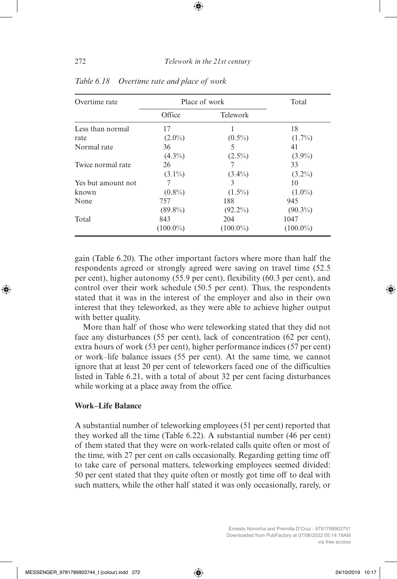| Overtime rate      |             | Place of work | Total       |
|--------------------|-------------|---------------|-------------|
|                    | Office      | Telework      |             |
| Less than normal   | 17          |               | 18          |
| rate               | $(2.0\%)$   | $(0.5\%)$     | $(1.7\%)$   |
| Normal rate        | 36          | 5             | 41          |
|                    | $(4.3\%)$   | $(2.5\%)$     | $(3.9\%)$   |
| Twice normal rate  | 26          |               | 33          |
|                    | $(3.1\%)$   | $(3.4\%)$     | $(3.2\%)$   |
| Yes but amount not | 7           | 3             | 10          |
| known              | $(0.8\%)$   | $(1.5\%)$     | $(1.0\%)$   |
| None               | 757         | 188           | 945         |
|                    | $(89.8\%)$  | $(92.2\%)$    | $(90.3\%)$  |
| Total              | 843         | 204           | 1047        |
|                    | $(100.0\%)$ | $(100.0\%)$   | $(100.0\%)$ |

*Table 6.18 Overtime rate and place of work*

gain (Table 6.20). The other important factors where more than half the respondents agreed or strongly agreed were saving on travel time (52.5 per cent), higher autonomy (55.9 per cent), flexibility (60.3 per cent), and control over their work schedule (50.5 per cent). Thus, the respondents stated that it was in the interest of the employer and also in their own interest that they teleworked, as they were able to achieve higher output with better quality.

More than half of those who were teleworking stated that they did not face any disturbances (55 per cent), lack of concentration (62 per cent), extra hours of work (53 per cent), higher performance indices (57 per cent) or work–life balance issues (55 per cent). At the same time, we cannot ignore that at least 20 per cent of teleworkers faced one of the difficulties listed in Table 6.21, with a total of about 32 per cent facing disturbances while working at a place away from the office.

#### **Work–Life Balance**

A substantial number of teleworking employees (51 per cent) reported that they worked all the time (Table 6.22). A substantial number (46 per cent) of them stated that they were on work-related calls quite often or most of the time, with 27 per cent on calls occasionally. Regarding getting time off to take care of personal matters, teleworking employees seemed divided: 50 per cent stated that they quite often or mostly got time off to deal with such matters, while the other half stated it was only occasionally, rarely, or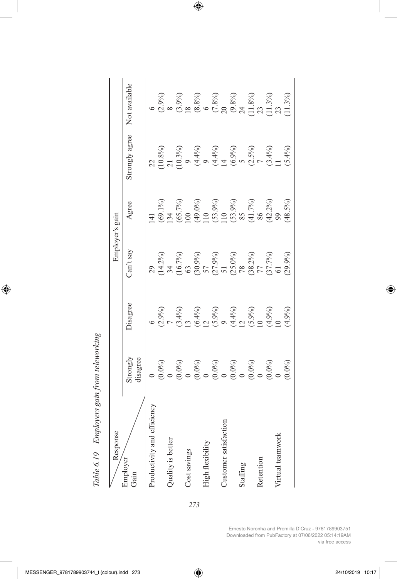| Response                    |                                                                                                                                                                                                                                                                                                                                                                  |                                                                                                                                                                                     | Employer's gain                                                                                                                                                                                                                                                                                                                                    |                                                                                                            |                |                                                                                                                                             |
|-----------------------------|------------------------------------------------------------------------------------------------------------------------------------------------------------------------------------------------------------------------------------------------------------------------------------------------------------------------------------------------------------------|-------------------------------------------------------------------------------------------------------------------------------------------------------------------------------------|----------------------------------------------------------------------------------------------------------------------------------------------------------------------------------------------------------------------------------------------------------------------------------------------------------------------------------------------------|------------------------------------------------------------------------------------------------------------|----------------|---------------------------------------------------------------------------------------------------------------------------------------------|
| Employer<br>Gain            | Strongly<br>disagree                                                                                                                                                                                                                                                                                                                                             | <b>Disagree</b>                                                                                                                                                                     | Can't say                                                                                                                                                                                                                                                                                                                                          | Agree                                                                                                      | Strongly agree | Not available                                                                                                                               |
| Productivity and efficiency |                                                                                                                                                                                                                                                                                                                                                                  |                                                                                                                                                                                     | 29                                                                                                                                                                                                                                                                                                                                                 |                                                                                                            |                |                                                                                                                                             |
|                             |                                                                                                                                                                                                                                                                                                                                                                  |                                                                                                                                                                                     |                                                                                                                                                                                                                                                                                                                                                    |                                                                                                            |                |                                                                                                                                             |
| Quality is better           |                                                                                                                                                                                                                                                                                                                                                                  |                                                                                                                                                                                     |                                                                                                                                                                                                                                                                                                                                                    |                                                                                                            |                |                                                                                                                                             |
|                             |                                                                                                                                                                                                                                                                                                                                                                  |                                                                                                                                                                                     |                                                                                                                                                                                                                                                                                                                                                    |                                                                                                            |                |                                                                                                                                             |
| Cost savings                |                                                                                                                                                                                                                                                                                                                                                                  |                                                                                                                                                                                     |                                                                                                                                                                                                                                                                                                                                                    |                                                                                                            |                |                                                                                                                                             |
|                             |                                                                                                                                                                                                                                                                                                                                                                  |                                                                                                                                                                                     |                                                                                                                                                                                                                                                                                                                                                    |                                                                                                            |                |                                                                                                                                             |
| High flexibilit             |                                                                                                                                                                                                                                                                                                                                                                  |                                                                                                                                                                                     |                                                                                                                                                                                                                                                                                                                                                    |                                                                                                            |                |                                                                                                                                             |
|                             |                                                                                                                                                                                                                                                                                                                                                                  |                                                                                                                                                                                     |                                                                                                                                                                                                                                                                                                                                                    |                                                                                                            |                |                                                                                                                                             |
| Justomer sati               |                                                                                                                                                                                                                                                                                                                                                                  |                                                                                                                                                                                     |                                                                                                                                                                                                                                                                                                                                                    |                                                                                                            |                |                                                                                                                                             |
|                             |                                                                                                                                                                                                                                                                                                                                                                  |                                                                                                                                                                                     |                                                                                                                                                                                                                                                                                                                                                    |                                                                                                            |                |                                                                                                                                             |
| Staffing                    |                                                                                                                                                                                                                                                                                                                                                                  |                                                                                                                                                                                     |                                                                                                                                                                                                                                                                                                                                                    |                                                                                                            |                |                                                                                                                                             |
|                             |                                                                                                                                                                                                                                                                                                                                                                  |                                                                                                                                                                                     |                                                                                                                                                                                                                                                                                                                                                    |                                                                                                            |                |                                                                                                                                             |
| Retentior                   |                                                                                                                                                                                                                                                                                                                                                                  |                                                                                                                                                                                     |                                                                                                                                                                                                                                                                                                                                                    |                                                                                                            |                |                                                                                                                                             |
|                             |                                                                                                                                                                                                                                                                                                                                                                  |                                                                                                                                                                                     |                                                                                                                                                                                                                                                                                                                                                    |                                                                                                            |                |                                                                                                                                             |
| Virtual teamwork            |                                                                                                                                                                                                                                                                                                                                                                  |                                                                                                                                                                                     |                                                                                                                                                                                                                                                                                                                                                    |                                                                                                            |                |                                                                                                                                             |
|                             | $\begin{array}{l} (0.0\%) \\ (0.0\%) \\ (0.0\%) \\ (0.0\%) \\ (0.0\%) \\ (0.0\%) \\ (0.0\%) \\ (0.0\%) \\ (0.0\%) \\ (0.0\%) \\ (0.0\%) \\ (0.0\%) \\ (0.0\%) \\ (0.0\%) \\ (0.0\%) \\ (0.0\%) \\ (0.0\%) \\ (0.0\%) \\ (0.0\%) \\ (0.0\%) \\ (0.0\%) \\ (0.0\%) \\ (0.0\%) \\ (0.0\%) \\ (0.0\%) \\ (0.0\%) \\ (0.0\%) \\ (0.0\%) \\ (0.0\%) \\ (0.0\%) \\ (0.$ | $(3.9\%)$ $(3.4\%)$ $(5.4\%)$ $(5.4\%)$ $(5.4\%)$ $(5.9\%)$ $(5.9\%)$ $(5.9\%)$ $(5.9\%)$ $(5.9\%)$ $(5.9\%)$ $(5.9\%)$ $(5.9\%)$ $(5.9\%)$ $(5.9\%)$ $(5.9\%)$ $(5.9\%)$ $(5.9\%)$ | $\begin{array}{l} (14.2\%) \\ 34 \\ (16.7\%) \\ (30.9\%) \\ (30.9\%) \\ (27.9\%) \\ (30.9\%) \\ (31.9\%) \\ (32.0\%) \\ (31.7\%) \\ (31.7\%) \\ (31.7\%) \\ (32.9\%) \\ (30.9\%) \\ (30.9\%) \\ (30.9\%) \\ (30.9\%) \\ (30.9\%) \\ (30.9\%) \\ (30.9\%) \\ (30.9\%) \\ (30.9\%) \\ (30.9\%) \\ (30.9\%) \\ (30.9\%) \\ (30.9\%) \\ (30.9\%) \\ ($ | 141<br>(69.1%)<br>(69.7%)<br>134<br>(65.7%)<br>(100 %)<br>(99.8%)<br>(100 %)<br>50%)<br>(48.5%)<br>(48.5%) |                | $(3.9\%)$<br>$(3.9\%)$<br>$(3.8\%)$<br>$(5.8\%)$<br>$(6.8\%)$<br>$(7.8\%)$<br>$(8.8\%)$<br>$(7.8\%)$<br>$(8.8\%)$<br>$(9.8\%)$<br>$(1.3\%)$ |

Table 6.19 Employers gain from teleworking *Table 6.19 Employers gain from teleworking*

Ernesto Noronha and Premilla D'Cruz - 9781789903751 Downloaded from PubFactory at 07/06/2022 05:14:19AM via free access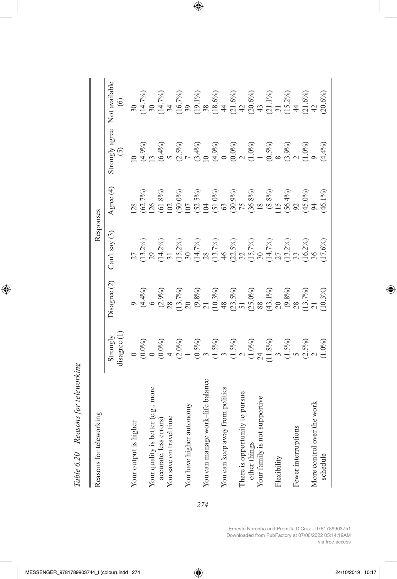| Reasons for teleworking            |                                                             |                                                                                        | Responses                                      |                                                                                                                               |                           |                                                                                               |
|------------------------------------|-------------------------------------------------------------|----------------------------------------------------------------------------------------|------------------------------------------------|-------------------------------------------------------------------------------------------------------------------------------|---------------------------|-----------------------------------------------------------------------------------------------|
|                                    | disagree (1<br>Strongly                                     | Disagree (2)                                                                           | $Can't$ say $(3)$                              | Agree (4)                                                                                                                     | Strongly agree<br>$\odot$ | Not available<br>$\odot$                                                                      |
| Your output is higher              | $(0.0\%)$                                                   |                                                                                        |                                                | 28                                                                                                                            | $\subseteq$               |                                                                                               |
| Your quality is better (e.g., more |                                                             | $\begin{array}{l} (4.4\%) \\ (2.9\%) \\ (2.3\%) \\ (13.7\%) \\ (9.8\%) \\ \end{array}$ | $(13.2\%)$                                     | $\frac{(62.7\%)}{126}$                                                                                                        | $(4.9\%)$                 | $(14.7%)$<br>30                                                                               |
| accurate, less errors)             | $(0.0\%)$                                                   |                                                                                        | $(14.2\%)$<br>31                               | $(61.8\%)$<br>102                                                                                                             | $(6.4\%)$<br>5            | $(14.7\%)$<br>34                                                                              |
| You save on travel time            |                                                             |                                                                                        |                                                |                                                                                                                               |                           |                                                                                               |
|                                    | $(2.0\%)$                                                   |                                                                                        | $(15.2\%)$<br>30                               |                                                                                                                               | $(2.5\%)$                 | (16.7%)                                                                                       |
| You have higher autonomy           |                                                             |                                                                                        |                                                |                                                                                                                               |                           |                                                                                               |
|                                    |                                                             |                                                                                        |                                                |                                                                                                                               | $(3.4\%)$<br>10           | $\frac{39}{(19.1\%)}$                                                                         |
| You can manage work–life balance   | $(0.5\%)$<br>3                                              |                                                                                        | $(14.7\%)$<br>28                               |                                                                                                                               |                           |                                                                                               |
|                                    | $\begin{array}{c} (1.5\%) \\ 3 \\ (1.5\%) \\ 2 \end{array}$ |                                                                                        | (13.7%)                                        | $(50.0\%)$<br>$107$<br>$(51.5\%)$<br>$(51.0\%)$<br>$(51.0\%)$<br>$(50.9\%)$<br>$(50.8\%)$<br>$(8.8\%)$<br>$115$<br>$(56.4\%)$ | $(4.9\%)$                 | $\begin{array}{l} (18.6\%) \\ 44 \\ (21.6\%) \\ (20.6\%) \\ (20.6\%) \\ (21.1\%) \end{array}$ |
| You can keep away from politics    |                                                             |                                                                                        |                                                |                                                                                                                               |                           |                                                                                               |
|                                    |                                                             | $(10.3\%)$<br>$(23.5\%)$<br>$51$<br>$(25.0\%)$<br>$88$                                 | $46$<br>$(22.5%)$<br>$32$<br>$(15.7%)$<br>$30$ |                                                                                                                               | $(0.0\%)$                 |                                                                                               |
| There is opportunity to pursue     |                                                             |                                                                                        |                                                |                                                                                                                               |                           |                                                                                               |
| other things                       | $(1.0\%)$<br>24                                             |                                                                                        |                                                |                                                                                                                               | $(1.0\%)$<br>1            |                                                                                               |
| Your family is not supportive      |                                                             |                                                                                        |                                                |                                                                                                                               |                           |                                                                                               |
|                                    | $(11.8\%)$<br>3                                             | $(43.1\%)$<br>20                                                                       | $(14.7\%)$<br>27                               |                                                                                                                               | $(0.5\%)$<br>8            |                                                                                               |
| ${\rm Flexibility}$                |                                                             |                                                                                        |                                                |                                                                                                                               |                           |                                                                                               |
|                                    |                                                             | $\frac{\left(9.8\% \right)}{28}$                                                       | $(13.2\%)$<br>33                               |                                                                                                                               | $(3.9\%)$<br>2            | $(15.2\%)$                                                                                    |
| Fewer interruptions                |                                                             |                                                                                        |                                                |                                                                                                                               |                           |                                                                                               |
|                                    | $(1.5\%)$<br>$(2.5\%)$<br>$2$                               | $(13.7\%)$<br>21                                                                       | $(16.2\%)$<br>36                               | $(45.0\%)$<br>94                                                                                                              | $(1.0\%)$                 | $(21.6\%)$<br>42                                                                              |
| More control over the work         |                                                             |                                                                                        |                                                |                                                                                                                               |                           |                                                                                               |
| schedule                           | $(1.0\%)$                                                   | $(10.3\%)$                                                                             | $(17.6\%)$                                     | $(46.1\%)$                                                                                                                    | $(4.4\%)$                 | $(20.6\%)$                                                                                    |

Table 6.20 Reasons for teleworking *Table 6.20 Reasons for teleworking*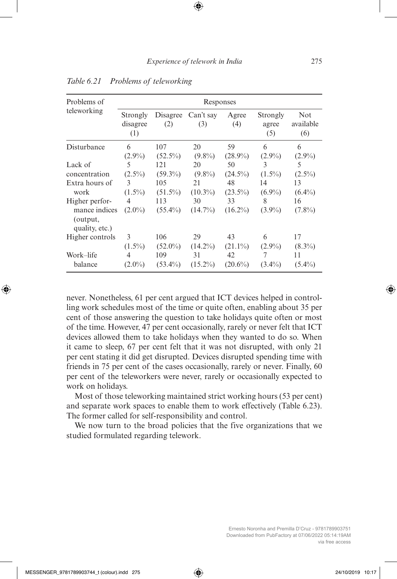| Problems of                                                   |                             |                   | Responses        |                  |                          |                         |
|---------------------------------------------------------------|-----------------------------|-------------------|------------------|------------------|--------------------------|-------------------------|
| teleworking                                                   | Strongly<br>disagree<br>(1) | Disagree<br>(2)   | Can't say<br>(3) | Agree<br>(4)     | Strongly<br>agree<br>(5) | Not<br>available<br>(6) |
| Disturbance                                                   | 6                           | 107               | 20               | 59               | 6                        | 6                       |
|                                                               | $(2.9\%)$                   | $(52.5\%)$        | $(9.8\%)$        | $(28.9\%)$       | $(2.9\%)$                | $(2.9\%)$               |
| Lack of                                                       | 5                           | 121               | 20               | 50               | 3                        | 5                       |
| concentration                                                 | $(2.5\%)$                   | $(59.3\%)$        | $(9.8\%)$        | $(24.5\%)$       | $(1.5\%)$                | $(2.5\%)$               |
| Extra hours of                                                | 3                           | 105               | 21               | 48               | 14                       | 13                      |
| work                                                          | $(1.5\%)$                   | $(51.5\%)$        | $(10.3\%)$       | $(23.5\%)$       | $(6.9\%)$                | $(6.4\%)$               |
| Higher perfor-<br>mance indices<br>(output,<br>quality, etc.) | 4<br>$(2.0\%)$              | 113<br>$(55.4\%)$ | 30<br>$(14.7\%)$ | 33<br>$(16.2\%)$ | 8<br>$(3.9\%)$           | 16<br>$(7.8\%)$         |
| Higher controls                                               | 3                           | 106               | 29               | 43               | 6                        | 17                      |
|                                                               | $(1.5\%)$                   | $(52.0\%)$        | $(14.2\%)$       | $(21.1\%)$       | $(2.9\%)$                | $(8.3\%)$               |
| Work–life                                                     | 4                           | 109               | 31               | 42               | 7                        | 11                      |
| balance                                                       | $(2.0\%)$                   | $(53.4\%)$        | $(15.2\%)$       | $(20.6\%)$       | $(3.4\%)$                | $(5.4\%)$               |

*Table 6.21 Problems of teleworking*

never. Nonetheless, 61 per cent argued that ICT devices helped in controlling work schedules most of the time or quite often, enabling about 35 per cent of those answering the question to take holidays quite often or most of the time. However, 47 per cent occasionally, rarely or never felt that ICT devices allowed them to take holidays when they wanted to do so. When it came to sleep, 67 per cent felt that it was not disrupted, with only 21 per cent stating it did get disrupted. Devices disrupted spending time with friends in 75 per cent of the cases occasionally, rarely or never. Finally, 60 per cent of the teleworkers were never, rarely or occasionally expected to work on holidays.

Most of those teleworking maintained strict working hours (53 per cent) and separate work spaces to enable them to work effectively (Table 6.23). The former called for self-responsibility and control.

We now turn to the broad policies that the five organizations that we studied formulated regarding telework.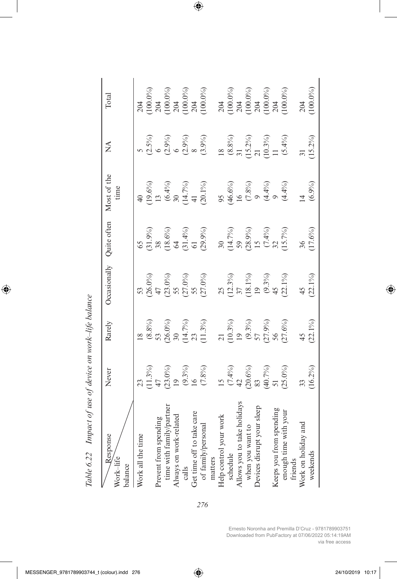| Response<br>Work-life<br>balance | Never                                                             | Rarely                                                         | Occasionally                               | Quite often                                                                       | Most of the<br>time                                                           | ≸                                            | Total              |
|----------------------------------|-------------------------------------------------------------------|----------------------------------------------------------------|--------------------------------------------|-----------------------------------------------------------------------------------|-------------------------------------------------------------------------------|----------------------------------------------|--------------------|
| Work all the time                |                                                                   |                                                                |                                            |                                                                                   |                                                                               |                                              | 204                |
|                                  |                                                                   |                                                                | $(26.0\%)$<br>47                           | $\begin{array}{c} (31.9\%) \\ 38 \\ (18.6\%) \\ 64 \\ (31.4\%) \\ 61 \end{array}$ |                                                                               | $(2.5\%)$<br>6                               |                    |
| Prevent from spending            |                                                                   |                                                                |                                            |                                                                                   |                                                                               |                                              | $(100.0\%)$<br>204 |
| time with family/partne          | $(11.3%)$<br>$47$<br>$(23.0%)$                                    | $\begin{array}{c} (8.8\%) \\ 53 \\ (26.0\%) \\ 30 \end{array}$ |                                            |                                                                                   | $\begin{array}{l} (19.6\%) \\ 13 \\ (6.4\%) \\ 30 \\ (14.7\%) \\ \end{array}$ | $(2.9\%)$<br>6                               |                    |
| Always on work-related           | $\overline{0}$                                                    |                                                                |                                            |                                                                                   |                                                                               |                                              | $(100.0\%)$<br>204 |
| calls                            | $(9.3\%)$<br>16                                                   | $(14.7\%)$<br>23                                               |                                            |                                                                                   |                                                                               | $(2.9\%)$<br>8                               | $(100.0\%)$        |
| Get time off to take care        |                                                                   |                                                                |                                            |                                                                                   |                                                                               |                                              | 204                |
| of family/personal               | $(7.8\%)$                                                         | (11.3%)                                                        | $(23.0\%)$<br>55<br>$(27.0\%)$<br>55<br>55 | $(29.9\%)$                                                                        | $(20.1\%)$                                                                    | (3.9%)                                       | 100.0%             |
| matters                          |                                                                   |                                                                |                                            |                                                                                   |                                                                               |                                              |                    |
| Help control your work           | $\overline{15}$                                                   |                                                                |                                            | $\overline{30}$                                                                   | 95                                                                            | $\frac{8}{18}$                               | 204                |
| schedule                         |                                                                   | $(10.3\%)$                                                     | $(12.3\%)$<br>37<br>(18.1%)<br>19          |                                                                                   |                                                                               | $\begin{array}{c} (8.8\%) \\ 31 \end{array}$ |                    |
| Allows you to take holidays      |                                                                   | $\overline{19}$                                                |                                            |                                                                                   | $(46.6\%)$<br>16                                                              |                                              | $(100.0\%)$<br>204 |
| when you want to                 |                                                                   | $(9.3\%)$<br>57                                                |                                            |                                                                                   |                                                                               | $(15.2\%)$<br>21                             | $(100.0\%)$        |
| Devices disrupt your sleep       |                                                                   |                                                                |                                            |                                                                                   |                                                                               |                                              | 204                |
|                                  |                                                                   | $(27.9\%)$<br>56                                               | $(9.3\%)$<br>45                            | $\begin{array}{l} (14.7\%) \\ 59 \\ (28.9\%) \\ 15 \\ (7.4\%) \\ \end{array}$     | $(7.8%)$<br>$9$<br>$(4.4%)$<br>$9$                                            | $(10.3\%)$                                   | $(100.0\%)$        |
| Keeps you from spending          |                                                                   |                                                                |                                            |                                                                                   |                                                                               | $\frac{1}{\sqrt{1}}$                         | 204                |
| enough time with your<br>friends | $(7.4\%)$<br>42<br>$(20.6\%)$<br>83<br>$(40.7\%)$<br>51<br>55.0%) | $(27.6\%)$                                                     | $(22.1\%)$                                 | $(15.7\%)$                                                                        | $(4.4\%)$                                                                     | $(5.4\%)$                                    | 100.0%             |
| Work on holiday and              |                                                                   | 45                                                             | 45                                         | 36 <sup>2</sup>                                                                   |                                                                               |                                              | 204                |
| weekends                         | $\frac{33}{(16.2\%)}$                                             | $(22.1\%)$                                                     | $(22.1\%)$                                 | $(17.6\%)$                                                                        | (6.9%                                                                         | $(15.2\%)$                                   | $(100.0\%)$        |

Table 6.22 Impact of use of device on work-life balance *Table 6.22 Impact of use of device on work–life balance*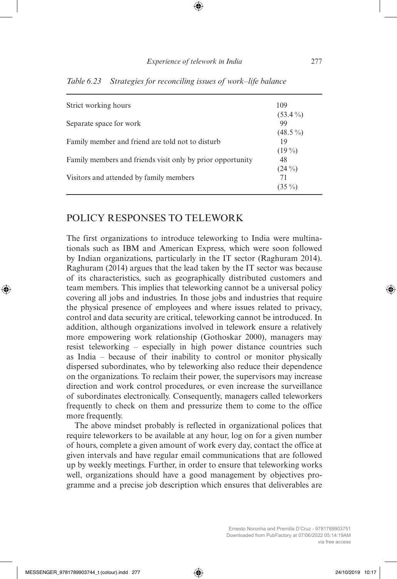| Strict working hours                                       | 109              |
|------------------------------------------------------------|------------------|
| Separate space for work                                    | $(53.4\%)$<br>99 |
| Family member and friend are told not to disturb           | $(48.5\%)$<br>19 |
| Family members and friends visit only by prior opportunity | $(19\%)$<br>48   |
| Visitors and attended by family members                    | $(24\%)$<br>71   |
|                                                            | $(35\%)$         |

*Table 6.23 Strategies for reconciling issues of work–life balance*

#### POLICY RESPONSES TO TELEWORK

The first organizations to introduce teleworking to India were multinationals such as IBM and American Express, which were soon followed by Indian organizations, particularly in the IT sector (Raghuram 2014). Raghuram (2014) argues that the lead taken by the IT sector was because of its characteristics, such as geographically distributed customers and team members. This implies that teleworking cannot be a universal policy covering all jobs and industries. In those jobs and industries that require the physical presence of employees and where issues related to privacy, control and data security are critical, teleworking cannot be introduced. In addition, although organizations involved in telework ensure a relatively more empowering work relationship (Gothoskar 2000), managers may resist teleworking – especially in high power distance countries such as India – because of their inability to control or monitor physically dispersed subordinates, who by teleworking also reduce their dependence on the organizations. To reclaim their power, the supervisors may increase direction and work control procedures, or even increase the surveillance of subordinates electronically. Consequently, managers called teleworkers frequently to check on them and pressurize them to come to the office more frequently.

The above mindset probably is reflected in organizational polices that require teleworkers to be available at any hour, log on for a given number of hours, complete a given amount of work every day, contact the office at given intervals and have regular email communications that are followed up by weekly meetings. Further, in order to ensure that teleworking works well, organizations should have a good management by objectives programme and a precise job description which ensures that deliverables are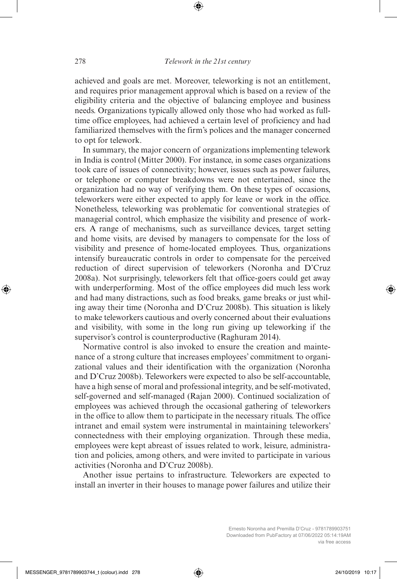achieved and goals are met. Moreover, teleworking is not an entitlement, and requires prior management approval which is based on a review of the eligibility criteria and the objective of balancing employee and business needs. Organizations typically allowed only those who had worked as fulltime office employees, had achieved a certain level of proficiency and had familiarized themselves with the firm's polices and the manager concerned to opt for telework.

In summary, the major concern of organizations implementing telework in India is control (Mitter 2000). For instance, in some cases organizations took care of issues of connectivity; however, issues such as power failures, or telephone or computer breakdowns were not entertained, since the organization had no way of verifying them. On these types of occasions, teleworkers were either expected to apply for leave or work in the office. Nonetheless, teleworking was problematic for conventional strategies of managerial control, which emphasize the visibility and presence of workers. A range of mechanisms, such as surveillance devices, target setting and home visits, are devised by managers to compensate for the loss of visibility and presence of home-located employees. Thus, organizations intensify bureaucratic controls in order to compensate for the perceived reduction of direct supervision of teleworkers (Noronha and D'Cruz 2008a). Not surprisingly, teleworkers felt that office-goers could get away with underperforming. Most of the office employees did much less work and had many distractions, such as food breaks, game breaks or just whiling away their time (Noronha and D'Cruz 2008b). This situation is likely to make teleworkers cautious and overly concerned about their evaluations and visibility, with some in the long run giving up teleworking if the supervisor's control is counterproductive (Raghuram 2014).

Normative control is also invoked to ensure the creation and maintenance of a strong culture that increases employees' commitment to organizational values and their identification with the organization (Noronha and D'Cruz 2008b). Teleworkers were expected to also be self-accountable, have a high sense of moral and professional integrity, and be self-motivated, self-governed and self-managed (Rajan 2000). Continued socialization of employees was achieved through the occasional gathering of teleworkers in the office to allow them to participate in the necessary rituals. The office intranet and email system were instrumental in maintaining teleworkers' connectedness with their employing organization. Through these media, employees were kept abreast of issues related to work, leisure, administration and policies, among others, and were invited to participate in various activities (Noronha and D'Cruz 2008b).

Another issue pertains to infrastructure. Teleworkers are expected to install an inverter in their houses to manage power failures and utilize their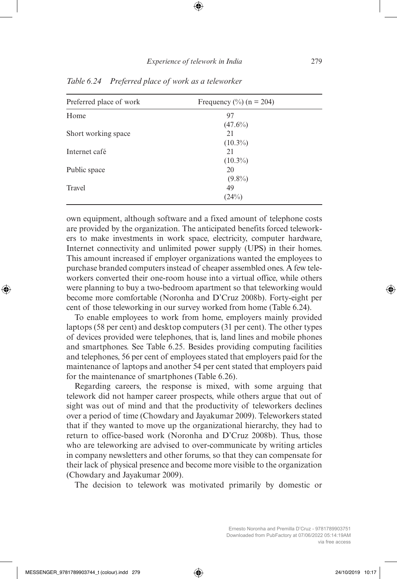| Preferred place of work | Frequency $\frac{0}{0}$ (n = 204) |  |
|-------------------------|-----------------------------------|--|
| Home                    | 97                                |  |
|                         | $(47.6\%)$                        |  |
| Short working space     | 21                                |  |
|                         | $(10.3\%)$                        |  |
| Internet café           | 21                                |  |
|                         | $(10.3\%)$                        |  |
| Public space            | 20                                |  |
|                         | $(9.8\%)$                         |  |
| <b>Travel</b>           | 49                                |  |
|                         | (24%)                             |  |

*Table 6.24 Preferred place of work as a teleworker*

own equipment, although software and a fixed amount of telephone costs are provided by the organization. The anticipated benefits forced teleworkers to make investments in work space, electricity, computer hardware, Internet connectivity and unlimited power supply (UPS) in their homes. This amount increased if employer organizations wanted the employees to purchase branded computers instead of cheaper assembled ones. A few teleworkers converted their one-room house into a virtual office, while others were planning to buy a two-bedroom apartment so that teleworking would become more comfortable (Noronha and D'Cruz 2008b). Forty-eight per cent of those teleworking in our survey worked from home (Table 6.24).

To enable employees to work from home, employers mainly provided laptops (58 per cent) and desktop computers (31 per cent). The other types of devices provided were telephones, that is, land lines and mobile phones and smartphones. See Table 6.25. Besides providing computing facilities and telephones, 56 per cent of employees stated that employers paid for the maintenance of laptops and another 54 per cent stated that employers paid for the maintenance of smartphones (Table 6.26).

Regarding careers, the response is mixed, with some arguing that telework did not hamper career prospects, while others argue that out of sight was out of mind and that the productivity of teleworkers declines over a period of time (Chowdary and Jayakumar 2009). Teleworkers stated that if they wanted to move up the organizational hierarchy, they had to return to office-based work (Noronha and D'Cruz 2008b). Thus, those who are teleworking are advised to over-communicate by writing articles in company newsletters and other forums, so that they can compensate for their lack of physical presence and become more visible to the organization (Chowdary and Jayakumar 2009).

The decision to telework was motivated primarily by domestic or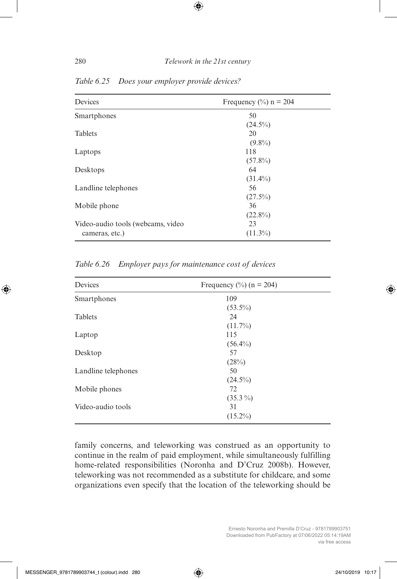| Devices                           | Frequency $(\% )$ n = 204 |
|-----------------------------------|---------------------------|
| Smartphones                       | 50                        |
|                                   | $(24.5\%)$                |
| <b>Tablets</b>                    | 20                        |
|                                   | $(9.8\%)$                 |
| Laptops                           | 118                       |
|                                   | $(57.8\%)$                |
| Desktops                          | 64                        |
|                                   | $(31.4\%)$                |
| Landline telephones               | 56                        |
|                                   | $(27.5\%)$                |
| Mobile phone                      | 36                        |
|                                   | $(22.8\%)$                |
| Video-audio tools (webcams, video | 23                        |
| cameras, etc.)                    | $(11.3\%)$                |

*Table 6.25 Does your employer provide devices?*

*Table 6.26 Employer pays for maintenance cost of devices*

| Devices             | Frequency $\frac{0}{0}$ (n = 204) |  |
|---------------------|-----------------------------------|--|
| Smartphones         | 109                               |  |
|                     | $(53.5\%)$                        |  |
| <b>Tablets</b>      | 24                                |  |
|                     | $(11.7\%)$                        |  |
| Laptop              | 115                               |  |
|                     | $(56.4\%)$                        |  |
| Desktop             | 57                                |  |
|                     | (28%)                             |  |
| Landline telephones | 50                                |  |
|                     | $(24.5\%)$                        |  |
| Mobile phones       | 72                                |  |
|                     | $(35.3\%)$                        |  |
| Video-audio tools   | 31                                |  |
|                     | $(15.2\%)$                        |  |
|                     |                                   |  |

family concerns, and teleworking was construed as an opportunity to continue in the realm of paid employment, while simultaneously fulfilling home-related responsibilities (Noronha and D'Cruz 2008b). However, teleworking was not recommended as a substitute for childcare, and some organizations even specify that the location of the teleworking should be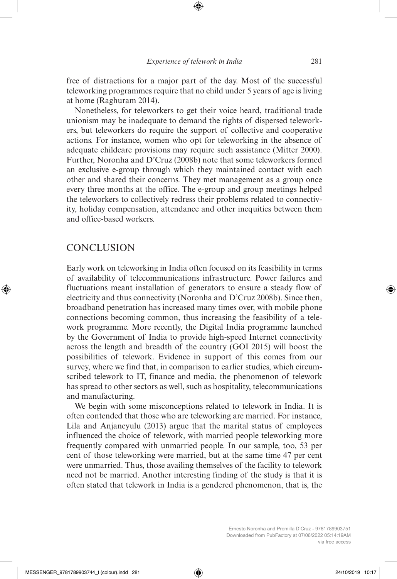free of distractions for a major part of the day. Most of the successful teleworking programmes require that no child under 5 years of age is living at home (Raghuram 2014).

Nonetheless, for teleworkers to get their voice heard, traditional trade unionism may be inadequate to demand the rights of dispersed teleworkers, but teleworkers do require the support of collective and cooperative actions. For instance, women who opt for teleworking in the absence of adequate childcare provisions may require such assistance (Mitter 2000). Further, Noronha and D'Cruz (2008b) note that some teleworkers formed an exclusive e-group through which they maintained contact with each other and shared their concerns. They met management as a group once every three months at the office. The e-group and group meetings helped the teleworkers to collectively redress their problems related to connectivity, holiday compensation, attendance and other inequities between them and office-based workers.

#### **CONCLUSION**

Early work on teleworking in India often focused on its feasibility in terms of availability of telecommunications infrastructure. Power failures and fluctuations meant installation of generators to ensure a steady flow of electricity and thus connectivity (Noronha and D'Cruz 2008b). Since then, broadband penetration has increased many times over, with mobile phone connections becoming common, thus increasing the feasibility of a telework programme. More recently, the Digital India programme launched by the Government of India to provide high-speed Internet connectivity across the length and breadth of the country (GOI 2015) will boost the possibilities of telework. Evidence in support of this comes from our survey, where we find that, in comparison to earlier studies, which circumscribed telework to IT, finance and media, the phenomenon of telework has spread to other sectors as well, such as hospitality, telecommunications and manufacturing.

We begin with some misconceptions related to telework in India. It is often contended that those who are teleworking are married. For instance, Lila and Anjaneyulu (2013) argue that the marital status of employees influenced the choice of telework, with married people teleworking more frequently compared with unmarried people. In our sample, too, 53 per cent of those teleworking were married, but at the same time 47 per cent were unmarried. Thus, those availing themselves of the facility to telework need not be married. Another interesting finding of the study is that it is often stated that telework in India is a gendered phenomenon, that is, the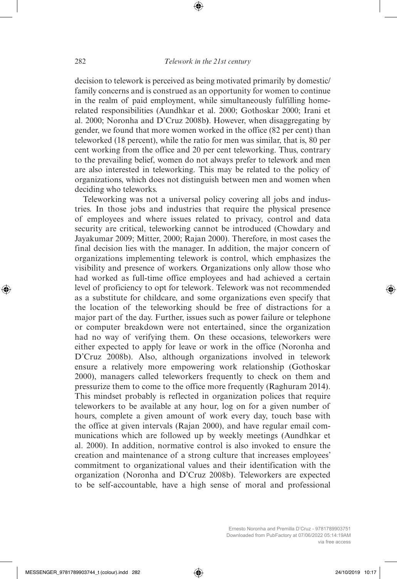decision to telework is perceived as being motivated primarily by domestic/ family concerns and is construed as an opportunity for women to continue in the realm of paid employment, while simultaneously fulfilling homerelated responsibilities (Aundhkar et al. 2000; Gothoskar 2000; Irani et al. 2000; Noronha and D'Cruz 2008b**)**. However, when disaggregating by gender, we found that more women worked in the office (82 per cent) than teleworked (18 percent), while the ratio for men was similar, that is, 80 per cent working from the office and 20 per cent teleworking. Thus, contrary to the prevailing belief, women do not always prefer to telework and men are also interested in teleworking. This may be related to the policy of organizations, which does not distinguish between men and women when deciding who teleworks.

Teleworking was not a universal policy covering all jobs and industries. In those jobs and industries that require the physical presence of employees and where issues related to privacy, control and data security are critical, teleworking cannot be introduced (Chowdary and Jayakumar 2009; Mitter, 2000; Rajan 2000). Therefore, in most cases the final decision lies with the manager. In addition, the major concern of organizations implementing telework is control, which emphasizes the visibility and presence of workers. Organizations only allow those who had worked as full-time office employees and had achieved a certain level of proficiency to opt for telework. Telework was not recommended as a substitute for childcare, and some organizations even specify that the location of the teleworking should be free of distractions for a major part of the day. Further, issues such as power failure or telephone or computer breakdown were not entertained, since the organization had no way of verifying them. On these occasions, teleworkers were either expected to apply for leave or work in the office (Noronha and D'Cruz 2008b). Also, although organizations involved in telework ensure a relatively more empowering work relationship (Gothoskar 2000), managers called teleworkers frequently to check on them and pressurize them to come to the office more frequently (Raghuram 2014). This mindset probably is reflected in organization polices that require teleworkers to be available at any hour, log on for a given number of hours, complete a given amount of work every day, touch base with the office at given intervals (Rajan 2000), and have regular email communications which are followed up by weekly meetings (Aundhkar et al. 2000). In addition, normative control is also invoked to ensure the creation and maintenance of a strong culture that increases employees' commitment to organizational values and their identification with the organization (Noronha and D'Cruz 2008b). Teleworkers are expected to be self-accountable, have a high sense of moral and professional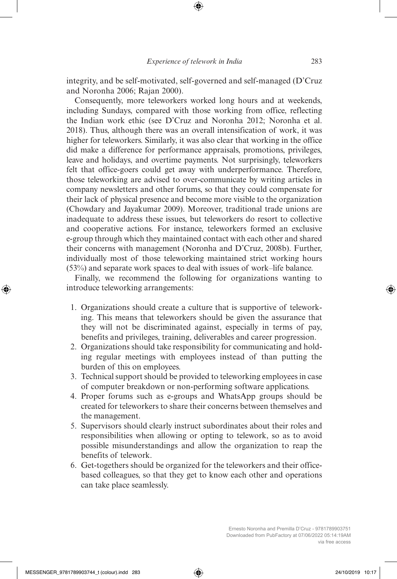integrity, and be self-motivated, self-governed and self-managed (D'Cruz and Noronha 2006; Rajan 2000).

Consequently, more teleworkers worked long hours and at weekends, including Sundays, compared with those working from office, reflecting the Indian work ethic (see D'Cruz and Noronha 2012; Noronha et al. 2018). Thus, although there was an overall intensification of work, it was higher for teleworkers. Similarly, it was also clear that working in the office did make a difference for performance appraisals, promotions, privileges, leave and holidays, and overtime payments. Not surprisingly, teleworkers felt that office-goers could get away with underperformance. Therefore, those teleworking are advised to over-communicate by writing articles in company newsletters and other forums, so that they could compensate for their lack of physical presence and become more visible to the organization (Chowdary and Jayakumar 2009). Moreover, traditional trade unions are inadequate to address these issues, but teleworkers do resort to collective and cooperative actions. For instance, teleworkers formed an exclusive e-group through which they maintained contact with each other and shared their concerns with management (Noronha and D'Cruz, 2008b). Further, individually most of those teleworking maintained strict working hours (53%) and separate work spaces to deal with issues of work–life balance.

Finally, we recommend the following for organizations wanting to introduce teleworking arrangements:

- 1. Organizations should create a culture that is supportive of teleworking. This means that teleworkers should be given the assurance that they will not be discriminated against, especially in terms of pay, benefits and privileges, training, deliverables and career progression.
- 2. Organizations should take responsibility for communicating and holding regular meetings with employees instead of than putting the burden of this on employees.
- 3. Technical support should be provided to teleworking employees in case of computer breakdown or non-performing software applications.
- 4. Proper forums such as e-groups and WhatsApp groups should be created for teleworkers to share their concerns between themselves and the management.
- 5. Supervisors should clearly instruct subordinates about their roles and responsibilities when allowing or opting to telework, so as to avoid possible misunderstandings and allow the organization to reap the benefits of telework.
- 6. Get-togethers should be organized for the teleworkers and their officebased colleagues, so that they get to know each other and operations can take place seamlessly.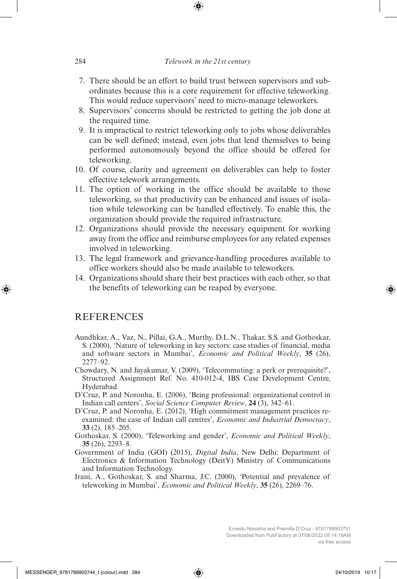- 7. There should be an effort to build trust between supervisors and subordinates because this is a core requirement for effective teleworking. This would reduce supervisors' need to micro-manage teleworkers.
- 8. Supervisors' concerns should be restricted to getting the job done at the required time.
- 9. It is impractical to restrict teleworking only to jobs whose deliverables can be well defined; instead, even jobs that lend themselves to being performed autonomously beyond the office should be offered for teleworking.
- 10. Of course, clarity and agreement on deliverables can help to foster effective telework arrangements.
- 11. The option of working in the office should be available to those teleworking, so that productivity can be enhanced and issues of isolation while teleworking can be handled effectively. To enable this, the organization should provide the required infrastructure.
- 12. Organizations should provide the necessary equipment for working away from the office and reimburse employees for any related expenses involved in teleworking.
- 13. The legal framework and grievance-handling procedures available to office workers should also be made available to teleworkers.
- 14. Organizations should share their best practices with each other, so that the benefits of teleworking can be reaped by everyone.

## **REFERENCES**

- Aundhkar, A., Vaz, N., Pillai, G.A., Murthy, D.L.N., Thakar, S.S. and Gothoskar, S. (2000), 'Nature of teleworking in key sectors: case studies of financial, media and software sectors in Mumbai', *Economic and Political Weekly*, **35** (26), 2277–92.
- Chowdary, N. and Jayakumar, V. (2009), 'Telecommuting: a perk or prerequisite?', Structured Assignment Ref. No. 410-012-4, IBS Case Development Centre, Hyderabad.
- D'Cruz, P. and Noronha, E. (2006), 'Being professional: organizational control in Indian call centers', *Social Science Computer Review*, **24** (3), 342–61.
- D'Cruz, P. and Noronha, E. (2012), 'High commitment management practices reexamined: the case of Indian call centres', *Economic and Industrial Democracy*, **33** (2), 185–205.
- Gothoskar, S. (2000), 'Teleworking and gender', *Economic and Political Weekly*, **35** (26), 2293–8.
- Government of India (GOI) (2015), *Digital India*, New Delhi: Department of Electronics & Information Technology (DeitY) Ministry of Communications and Information Technology.
- Irani, A., Gothoskar, S. and Sharma, J.C. (2000), 'Potential and prevalence of teleworking in Mumbai', *Economic and Political Weekly*, **35** (26), 2269–76.